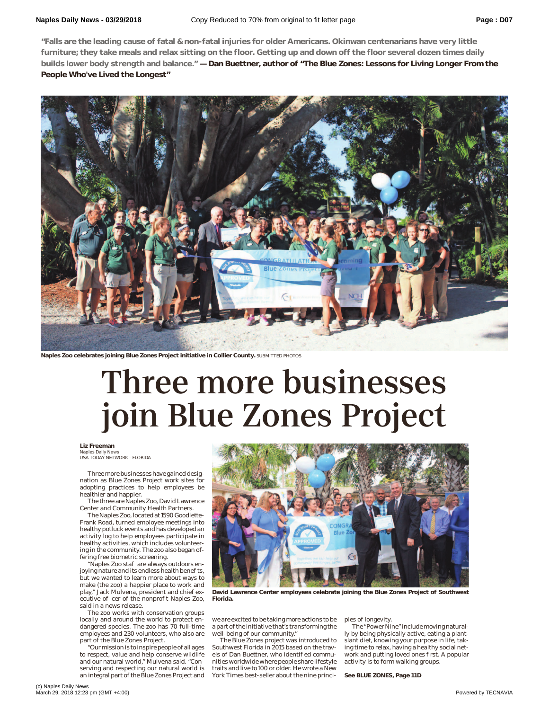**"Falls are the leading cause of fatal & non-fatal injuries for older Americans. Okinwan centenarians have very little furniture; they take meals and relax sitting on the floor. Getting up and down off the floor several dozen times daily builds lower body strength and balance." — Dan Buettner, author of "The Blue Zones: Lessons for Living Longer From the People Who've Lived the Longest"**



**Naples Zoo celebrates joining Blue Zones Project initiative in Collier County.** SUBMITTED PHOTOS

## Three more businesses join Blue Zones Project

**Liz Freeman**

Naples Daily News USA TODAY NETWORK - FLORIDA

Three more businesses have gained designation as Blue Zones Project work sites for adopting practices to help employees be healthier and happier.

The three are Naples Zoo, David Lawrence Center and Community Health Partners.

The Naples Zoo, located at 1590 Goodlette-Frank Road, turned employee meetings into healthy potluck events and has developed an activity log to help employees participate in healthy activities, which includes volunteering in the community. The zoo also began offering free biometric screening.

"Naples Zoo staff are always outdoors en-joying nature and its endless health benefits, but we wanted to learn more about ways to make (the zoo) a happier place to work and play," Jack Mulvena, president and chief ex-<br>ecutive 0 cer of the nonpro t Naples Zoo, said in a news release.

The zoo works with conservation groups locally and around the world to protect endangered species. The zoo has 70 full-time employees and 230 volunteers, who also are part of the Blue Zones Project.

"Our mission is to inspire people of all ages to respect, value and help conserve wildlife and our natural world," Mulvena said. "Conserving and respecting our natural world is an integral part of the Blue Zones Project and



**David Lawrence Center employees celebrate joining the Blue Zones Project of Southwest Florida.**

we are excited to be taking more actions to be a part of the initiative that's transforming the well-being of our community."

The Blue Zones project was introduced to Southwest Florida in 2015 based on the travels of Dan Buettner, who identi ed communities worldwide where people share lifestyle traits and live to 100 or older. He wrote a New York Times best-seller about the nine principles of longevity.

The "Power Nine" include moving naturally by being physically active, eating a plantslant diet, knowing your purpose in life, taking time to relax, having a healthy social network and putting loved ones rst. A popular activity is to form walking groups.

**See BLUE ZONES, Page 11D**